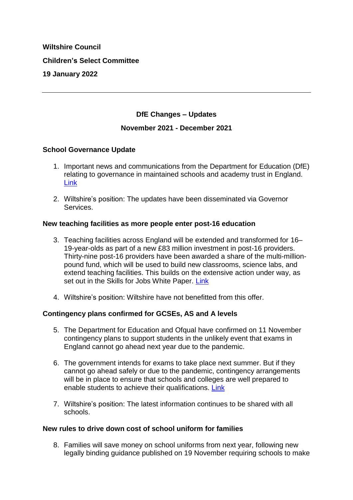# **Wiltshire Council Children's Select Committee 19 January 2022**

## **DfE Changes – Updates**

## **November 2021 - December 2021**

## **School Governance Update**

- 1. Important news and communications from the Department for Education (DfE) relating to governance in maintained schools and academy trust in England. [Link](https://www.gov.uk/government/publications/school-governance-update)
- 2. Wiltshire's position: The updates have been disseminated via Governor Services.

#### **New teaching facilities as more people enter post-16 education**

- 3. Teaching facilities across England will be extended and transformed for 16– 19-year-olds as part of a new £83 million investment in post-16 providers. Thirty-nine post-16 providers have been awarded a share of the multi-millionpound fund, which will be used to build new classrooms, science labs, and extend teaching facilities. This builds on the extensive action under way, as set out in the Skills for Jobs White Paper. [Link](https://www.gov.uk/government/news/new-teaching-facilities-as-more-people-enter-post-16-education)
- 4. Wiltshire's position: Wiltshire have not benefitted from this offer.

## **Contingency plans confirmed for GCSEs, AS and A levels**

- 5. The Department for Education and Ofqual have confirmed on 11 November contingency plans to support students in the unlikely event that exams in England cannot go ahead next year due to the pandemic.
- 6. The government intends for exams to take place next summer. But if they cannot go ahead safely or due to the pandemic, contingency arrangements will be in place to ensure that schools and colleges are well prepared to enable students to achieve their qualifications. [Link](https://www.gov.uk/government/news/contingency-plans-confirmed-for-gcses-as-and-a-levels)
- 7. Wiltshire's position: The latest information continues to be shared with all schools.

#### **New rules to drive down cost of school uniform for families**

8. Families will save money on school uniforms from next year, following new legally binding guidance published on 19 November requiring schools to make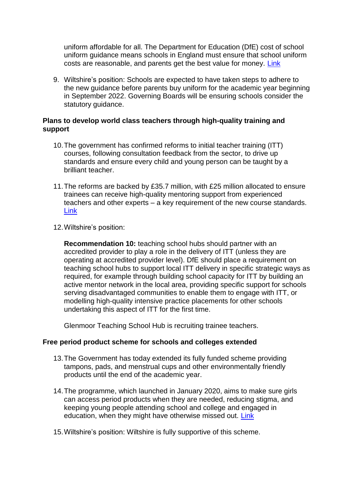uniform affordable for all. The Department for Education (DfE) cost of school uniform guidance means schools in England must ensure that school uniform costs are reasonable, and parents get the best value for money. [Link](https://www.gov.uk/government/news/new-rules-to-drive-down-cost-of-school-uniform-for-families)

9. Wiltshire's position: Schools are expected to have taken steps to adhere to the new guidance before parents buy uniform for the academic year beginning in September 2022. Governing Boards will be ensuring schools consider the statutory guidance.

# **Plans to develop world class teachers through high-quality training and support**

- 10.The government has confirmed reforms to initial teacher training (ITT) courses, following consultation feedback from the sector, to drive up standards and ensure every child and young person can be taught by a brilliant teacher.
- 11.The reforms are backed by £35.7 million, with £25 million allocated to ensure trainees can receive high-quality mentoring support from experienced teachers and other experts – a key requirement of the new course standards. [Link](https://www.gov.uk/government/news/plans-to-develop-world-class-teachers-through-high-quality-training-and-support)
- 12.Wiltshire's position:

**Recommendation 10:** teaching school hubs should partner with an accredited provider to play a role in the delivery of ITT (unless they are operating at accredited provider level). DfE should place a requirement on teaching school hubs to support local ITT delivery in specific strategic ways as required, for example through building school capacity for ITT by building an active mentor network in the local area, providing specific support for schools serving disadvantaged communities to enable them to engage with ITT, or modelling high-quality intensive practice placements for other schools undertaking this aspect of ITT for the first time.

Glenmoor Teaching School Hub is recruiting trainee teachers.

## **Free period product scheme for schools and colleges extended**

- 13.The Government has today extended its fully funded scheme providing tampons, pads, and menstrual cups and other environmentally friendly products until the end of the academic year.
- 14.The programme, which launched in January 2020, aims to make sure girls can access period products when they are needed, reducing stigma, and keeping young people attending school and college and engaged in education, when they might have otherwise missed out. [Link](https://www.gov.uk/government/news/free-period-product-scheme-for-schools-and-colleges-extended)
- 15.Wiltshire's position: Wiltshire is fully supportive of this scheme.